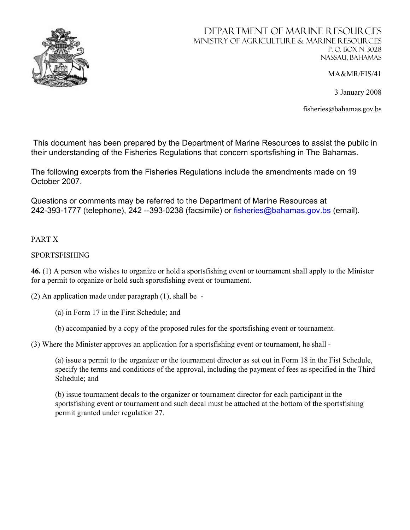

# Department of MARINE RESOURCES Ministry of Agriculture & Marine Resources P. O. Box N 3028 Nassau, Bahamas

MA&MR/FIS/41

3 January 2008

fisheries@bahamas.gov.bs

 This document has been prepared by the Department of Marine Resources to assist the public in their understanding of the Fisheries Regulations that concern sportsfishing in The Bahamas.

The following excerpts from the Fisheries Regulations include the amendments made on 19 October 2007.

Questions or comments may be referred to the Department of Marine Resources at 242-393-1777 (telephone), 242 --393-0238 (facsimile) or fisheries@bahamas.gov.bs (email).

# PART X

# SPORTSFISHING

**46.** (1) A person who wishes to organize or hold a sportsfishing event or tournament shall apply to the Minister for a permit to organize or hold such sportsfishing event or tournament.

(2) An application made under paragraph (1), shall be -

- (a) in Form 17 in the First Schedule; and
- (b) accompanied by a copy of the proposed rules for the sportsfishing event or tournament.

(3) Where the Minister approves an application for a sportsfishing event or tournament, he shall -

(a) issue a permit to the organizer or the tournament director as set out in Form 18 in the Fist Schedule, specify the terms and conditions of the approval, including the payment of fees as specified in the Third Schedule; and

(b) issue tournament decals to the organizer or tournament director for each participant in the sportsfishing event or tournament and such decal must be attached at the bottom of the sportsfishing permit granted under regulation 27.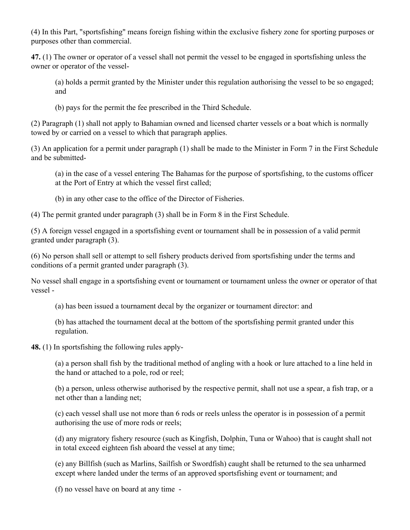(4) In this Part, "sportsfishing" means foreign fishing within the exclusive fishery zone for sporting purposes or purposes other than commercial.

**47.** (1) The owner or operator of a vessel shall not permit the vessel to be engaged in sportsfishing unless the owner or operator of the vessel-

(a) holds a permit granted by the Minister under this regulation authorising the vessel to be so engaged; and

(b) pays for the permit the fee prescribed in the Third Schedule.

(2) Paragraph (1) shall not apply to Bahamian owned and licensed charter vessels or a boat which is normally towed by or carried on a vessel to which that paragraph applies.

(3) An application for a permit under paragraph (1) shall be made to the Minister in Form 7 in the First Schedule and be submitted-

(a) in the case of a vessel entering The Bahamas for the purpose of sportsfishing, to the customs officer at the Port of Entry at which the vessel first called;

(b) in any other case to the office of the Director of Fisheries.

(4) The permit granted under paragraph (3) shall be in Form 8 in the First Schedule.

(5) A foreign vessel engaged in a sportsfishing event or tournament shall be in possession of a valid permit granted under paragraph (3).

(6) No person shall sell or attempt to sell fishery products derived from sportsfishing under the terms and conditions of a permit granted under paragraph (3).

No vessel shall engage in a sportsfishing event or tournament or tournament unless the owner or operator of that vessel -

(a) has been issued a tournament decal by the organizer or tournament director: and

(b) has attached the tournament decal at the bottom of the sportsfishing permit granted under this regulation.

**48.** (1) In sportsfishing the following rules apply-

(a) a person shall fish by the traditional method of angling with a hook or lure attached to a line held in the hand or attached to a pole, rod or reel;

(b) a person, unless otherwise authorised by the respective permit, shall not use a spear, a fish trap, or a net other than a landing net;

(c) each vessel shall use not more than 6 rods or reels unless the operator is in possession of a permit authorising the use of more rods or reels;

(d) any migratory fishery resource (such as Kingfish, Dolphin, Tuna or Wahoo) that is caught shall not in total exceed eighteen fish aboard the vessel at any time;

(e) any Billfish (such as Marlins, Sailfish or Swordfish) caught shall be returned to the sea unharmed except where landed under the terms of an approved sportsfishing event or tournament; and

(f) no vessel have on board at any time -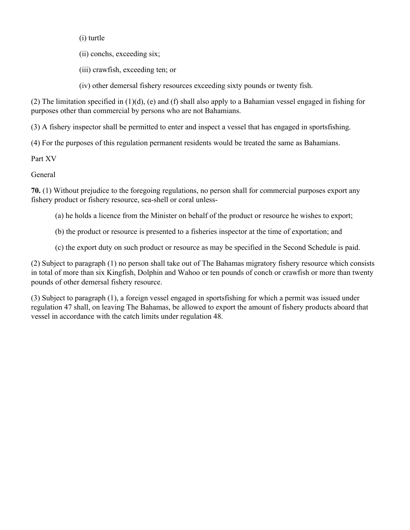(i) turtle

(ii) conchs, exceeding six;

(iii) crawfish, exceeding ten; or

(iv) other demersal fishery resources exceeding sixty pounds or twenty fish.

(2) The limitation specified in  $(1)(d)$ , (e) and (f) shall also apply to a Bahamian vessel engaged in fishing for purposes other than commercial by persons who are not Bahamians.

(3) A fishery inspector shall be permitted to enter and inspect a vessel that has engaged in sportsfishing.

(4) For the purposes of this regulation permanent residents would be treated the same as Bahamians.

Part XV

General

**70.** (1) Without prejudice to the foregoing regulations, no person shall for commercial purposes export any fishery product or fishery resource, sea-shell or coral unless-

- (a) he holds a licence from the Minister on behalf of the product or resource he wishes to export;
- (b) the product or resource is presented to a fisheries inspector at the time of exportation; and
- (c) the export duty on such product or resource as may be specified in the Second Schedule is paid.

(2) Subject to paragraph (1) no person shall take out of The Bahamas migratory fishery resource which consists in total of more than six Kingfish, Dolphin and Wahoo or ten pounds of conch or crawfish or more than twenty pounds of other demersal fishery resource.

(3) Subject to paragraph (1), a foreign vessel engaged in sportsfishing for which a permit was issued under regulation 47 shall, on leaving The Bahamas, be allowed to export the amount of fishery products aboard that vessel in accordance with the catch limits under regulation 48.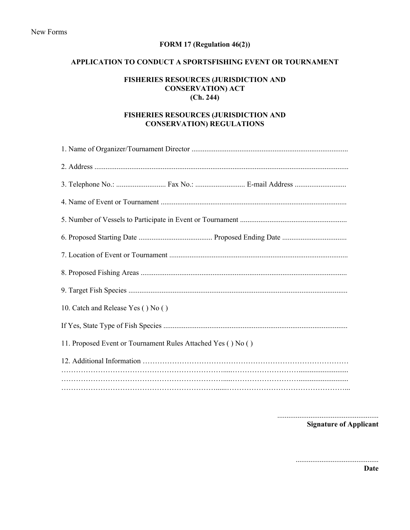## **FORM 17 (Regulation 46(2))**

#### **APPLICATION TO CONDUCT A SPORTSFISHING EVENT OR TOURNAMENT**

### **FISHERIES RESOURCES (JURISDICTION AND CONSERVATION) ACT (Ch. 244)**

#### **FISHERIES RESOURCES (JURISDICTION AND CONSERVATION) REGULATIONS**

| 10. Catch and Release Yes () No ()                           |  |  |
|--------------------------------------------------------------|--|--|
|                                                              |  |  |
| 11. Proposed Event or Tournament Rules Attached Yes () No () |  |  |
|                                                              |  |  |
|                                                              |  |  |
|                                                              |  |  |

.......................................................

**Signature of Applicant** 

.............................................

**Date**